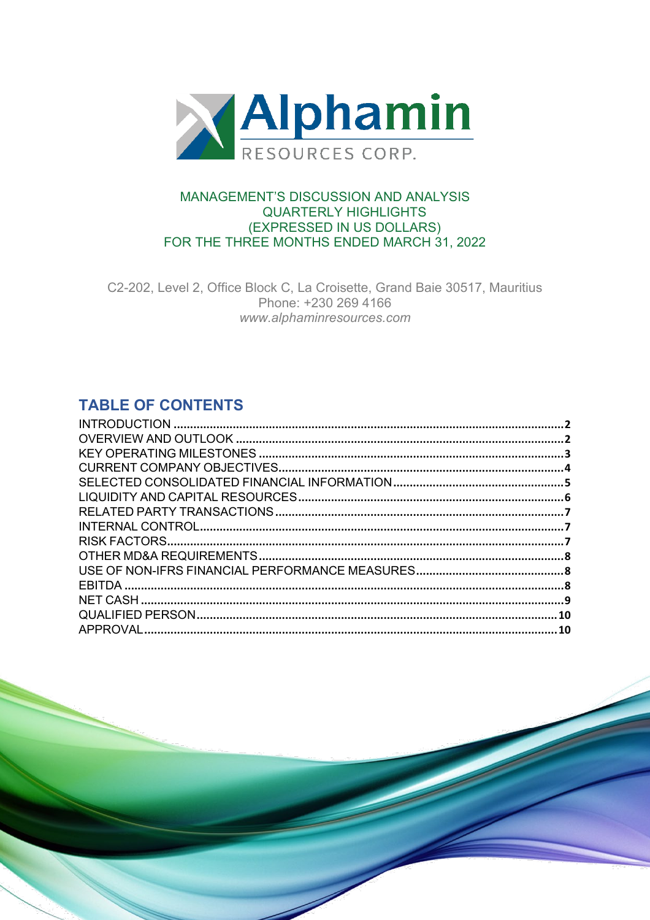

### **MANAGEMENT'S DISCUSSION AND ANALYSIS QUARTERLY HIGHLIGHTS** (EXPRESSED IN US DOLLARS) FOR THE THREE MONTHS ENDED MARCH 31, 2022

C2-202, Level 2, Office Block C, La Croisette, Grand Baie 30517, Mauritius Phone: +230 269 4166 www.alphaminresources.com

# **TABLE OF CONTENTS**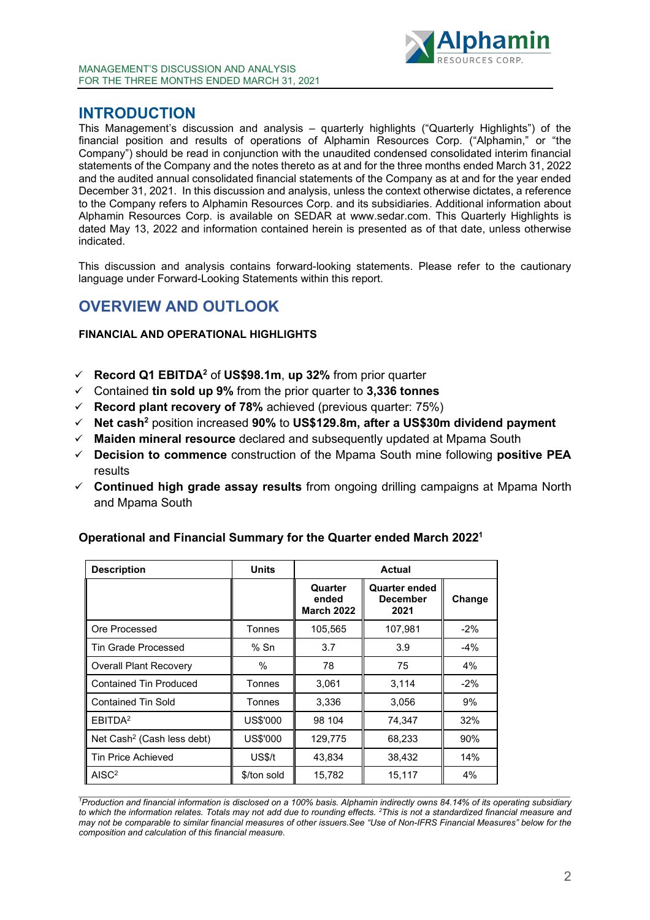

## <span id="page-1-0"></span>**INTRODUCTION**

This Management's discussion and analysis – quarterly highlights ("Quarterly Highlights") of the financial position and results of operations of Alphamin Resources Corp. ("Alphamin," or "the Company") should be read in conjunction with the unaudited condensed consolidated interim financial statements of the Company and the notes thereto as at and for the three months ended March 31, 2022 and the audited annual consolidated financial statements of the Company as at and for the year ended December 31, 2021. In this discussion and analysis, unless the context otherwise dictates, a reference to the Company refers to Alphamin Resources Corp. and its subsidiaries. Additional information about Alphamin Resources Corp. is available on SEDAR at www.sedar.com. This Quarterly Highlights is dated May 13, 2022 and information contained herein is presented as of that date, unless otherwise indicated.

This discussion and analysis contains forward-looking statements. Please refer to the cautionary language under Forward-Looking Statements within this report.

# <span id="page-1-1"></span>**OVERVIEW AND OUTLOOK**

### **FINANCIAL AND OPERATIONAL HIGHLIGHTS**

- **Record Q1 EBITDA2** of **US\$98.1m**, **up 32%** from prior quarter
- Contained **tin sold up 9%** from the prior quarter to **3,336 tonnes**
- **Record plant recovery of 78%** achieved (previous quarter: 75%)
- **Net cash2** position increased **90%** to **US\$129.8m, after a US\$30m dividend payment**
- **Maiden mineral resource** declared and subsequently updated at Mpama South
- **Decision to commence** construction of the Mpama South mine following **positive PEA** results
- **Continued high grade assay results** from ongoing drilling campaigns at Mpama North and Mpama South

| <b>Description</b>                     | <b>Units</b>     | <b>Actual</b>                         |                                                 |        |  |  |  |
|----------------------------------------|------------------|---------------------------------------|-------------------------------------------------|--------|--|--|--|
|                                        |                  | Quarter<br>ended<br><b>March 2022</b> | <b>Quarter ended</b><br><b>December</b><br>2021 | Change |  |  |  |
| Ore Processed                          | Tonnes           | 105,565                               | 107,981                                         | $-2%$  |  |  |  |
| <b>Tin Grade Processed</b>             | $%$ Sn           | 3.7                                   | 3.9                                             | $-4%$  |  |  |  |
| <b>Overall Plant Recovery</b>          | $\frac{0}{0}$    | 78                                    | 75                                              | 4%     |  |  |  |
| <b>Contained Tin Produced</b>          | Tonnes           | 3,061                                 | 3,114                                           | $-2\%$ |  |  |  |
| <b>Contained Tin Sold</b>              | Tonnes           | 3,336                                 | 3,056                                           | 9%     |  |  |  |
| EBITDA <sup>2</sup>                    | US\$'000         | 98 104                                | 74,347                                          | 32%    |  |  |  |
| Net Cash <sup>2</sup> (Cash less debt) | US\$'000         | 129,775                               | 68,233                                          | 90%    |  |  |  |
| <b>Tin Price Achieved</b>              | US <sub>st</sub> | 43,834                                | 38,432                                          | 14%    |  |  |  |
| AISC <sup>2</sup>                      | \$/ton sold      | 15,782                                | 15,117                                          | 4%     |  |  |  |

### **Operational and Financial Summary for the Quarter ended March 20221**

<sup>1</sup>Production and financial information is disclosed on a 100% basis. Alphamin indirectly owns 84.14% of its operating subsidiary to which the information relates. Totals may not add due to rounding effects. <sup>2</sup>This is not a standardized financial measure and may not be comparable to similar financial measures of other issuers. See "Use of Non-IFRS Financial Measures" below for the *composition and calculation of this financial measure.*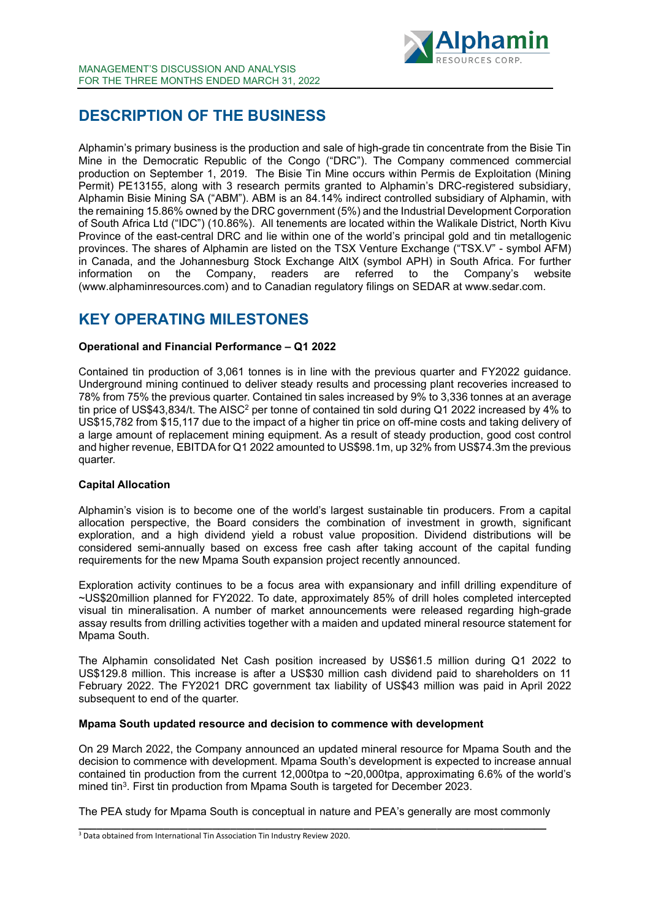

# **DESCRIPTION OF THE BUSINESS**

Alphamin's primary business is the production and sale of high-grade tin concentrate from the Bisie Tin Mine in the Democratic Republic of the Congo ("DRC"). The Company commenced commercial production on September 1, 2019. The Bisie Tin Mine occurs within Permis de Exploitation (Mining Permit) PE13155, along with 3 research permits granted to Alphamin's DRC-registered subsidiary, Alphamin Bisie Mining SA ("ABM"). ABM is an 84.14% indirect controlled subsidiary of Alphamin, with the remaining 15.86% owned by the DRC government (5%) and the Industrial Development Corporation of South Africa Ltd ("IDC") (10.86%). All tenements are located within the Walikale District, North Kivu Province of the east-central DRC and lie within one of the world's principal gold and tin metallogenic provinces. The shares of Alphamin are listed on the TSX Venture Exchange ("TSX.V" - symbol AFM) in Canada, and the Johannesburg Stock Exchange AltX (symbol APH) in South Africa. For further information on the Company, readers are referred to the Company's website information on the Company, readers are referred to the Company's website (www.alphaminresources.com) and to Canadian regulatory filings on SEDAR at www.sedar.com.

# <span id="page-2-0"></span>**KEY OPERATING MILESTONES**

### **Operational and Financial Performance – Q1 2022**

Contained tin production of 3,061 tonnes is in line with the previous quarter and FY2022 guidance. Underground mining continued to deliver steady results and processing plant recoveries increased to 78% from 75% the previous quarter. Contained tin sales increased by 9% to 3,336 tonnes at an average tin price of US\$43,834/t. The AISC<sup>2</sup> per tonne of contained tin sold during Q1 2022 increased by 4% to US\$15,782 from \$15,117 due to the impact of a higher tin price on off-mine costs and taking delivery of a large amount of replacement mining equipment. As a result of steady production, good cost control and higher revenue, EBITDAfor Q1 2022 amounted to US\$98.1m, up 32% from US\$74.3m the previous quarter.

### **Capital Allocation**

Alphamin's vision is to become one of the world's largest sustainable tin producers. From a capital allocation perspective, the Board considers the combination of investment in growth, significant exploration, and a high dividend yield a robust value proposition. Dividend distributions will be considered semi-annually based on excess free cash after taking account of the capital funding requirements for the new Mpama South expansion project recently announced.

Exploration activity continues to be a focus area with expansionary and infill drilling expenditure of ~US\$20million planned for FY2022. To date, approximately 85% of drill holes completed intercepted visual tin mineralisation. A number of market announcements were released regarding high-grade assay results from drilling activities together with a maiden and updated mineral resource statement for Mpama South.

The Alphamin consolidated Net Cash position increased by US\$61.5 million during Q1 2022 to US\$129.8 million. This increase is after a US\$30 million cash dividend paid to shareholders on 11 February 2022. The FY2021 DRC government tax liability of US\$43 million was paid in April 2022 subsequent to end of the quarter.

#### **Mpama South updated resource and decision to commence with development**

On 29 March 2022, the Company announced an updated mineral resource for Mpama South and the decision to commence with development. Mpama South's development is expected to increase annual contained tin production from the current 12,000tpa to ~20,000tpa, approximating 6.6% of the world's mined tin<sup>3</sup>. First tin production from Mpama South is targeted for December 2023.

The PEA study for Mpama South is conceptual in nature and PEA's generally are most commonly **\_\_\_\_\_\_\_\_\_\_\_\_\_\_\_\_\_\_\_\_\_\_\_\_\_\_\_\_\_\_\_\_\_\_\_\_\_\_\_\_\_\_\_\_\_\_\_\_\_\_\_\_\_\_\_\_\_\_\_\_\_\_\_\_\_\_\_\_\_\_\_\_\_\_\_\_\_**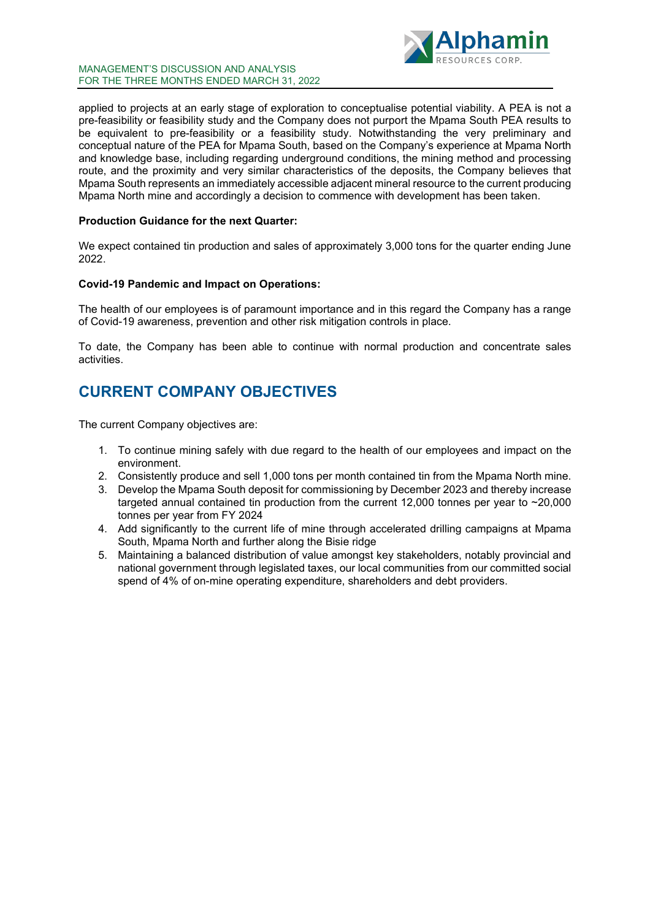

#### MANAGEMENT'S DISCUSSION AND ANALYSIS FOR THE THREE MONTHS ENDED MARCH 31, 2022

applied to projects at an early stage of exploration to conceptualise potential viability. A PEA is not a pre-feasibility or feasibility study and the Company does not purport the Mpama South PEA results to be equivalent to pre-feasibility or a feasibility study. Notwithstanding the very preliminary and conceptual nature of the PEA for Mpama South, based on the Company's experience at Mpama North and knowledge base, including regarding underground conditions, the mining method and processing route, and the proximity and very similar characteristics of the deposits, the Company believes that Mpama South represents an immediately accessible adjacent mineral resource to the current producing Mpama North mine and accordingly a decision to commence with development has been taken.

#### **Production Guidance for the next Quarter:**

We expect contained tin production and sales of approximately 3,000 tons for the quarter ending June 2022.

#### **Covid-19 Pandemic and Impact on Operations:**

The health of our employees is of paramount importance and in this regard the Company has a range of Covid-19 awareness, prevention and other risk mitigation controls in place.

To date, the Company has been able to continue with normal production and concentrate sales activities.

# <span id="page-3-0"></span>**CURRENT COMPANY OBJECTIVES**

The current Company objectives are:

- 1. To continue mining safely with due regard to the health of our employees and impact on the environment.
- 2. Consistently produce and sell 1,000 tons per month contained tin from the Mpama North mine.
- 3. Develop the Mpama South deposit for commissioning by December 2023 and thereby increase targeted annual contained tin production from the current 12,000 tonnes per year to  $\sim$ 20,000 tonnes per year from FY 2024
- 4. Add significantly to the current life of mine through accelerated drilling campaigns at Mpama South, Mpama North and further along the Bisie ridge
- 5. Maintaining a balanced distribution of value amongst key stakeholders, notably provincial and national government through legislated taxes, our local communities from our committed social spend of 4% of on-mine operating expenditure, shareholders and debt providers.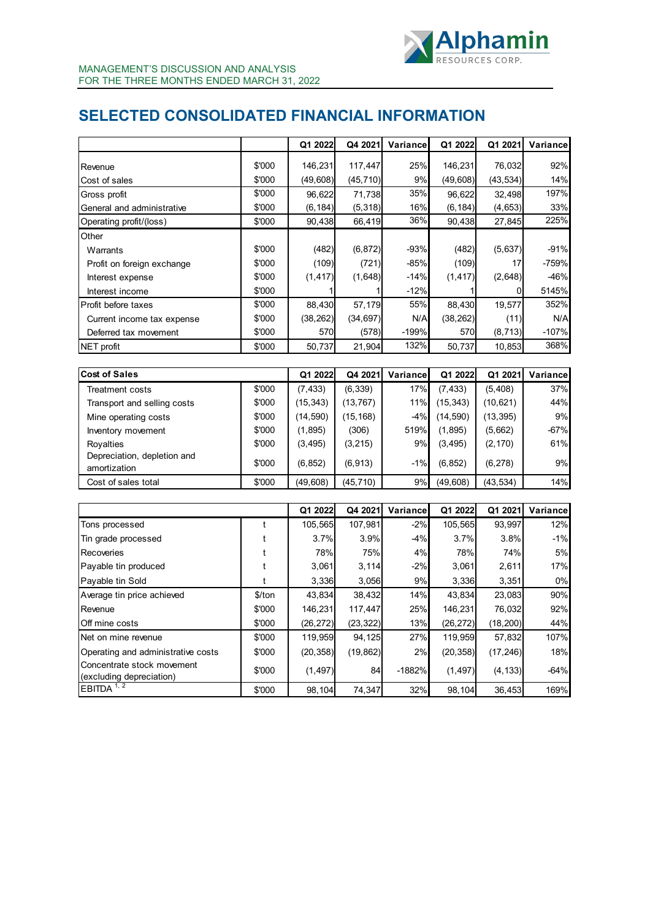

# <span id="page-4-0"></span>**SELECTED CONSOLIDATED FINANCIAL INFORMATION**

|                                                        |        | Q1 2022   | Q4 2021   | Variance | Q1 2022   | Q1 2021   | Variance |
|--------------------------------------------------------|--------|-----------|-----------|----------|-----------|-----------|----------|
| Revenue                                                | \$'000 | 146,231   | 117,447   | 25%      | 146,231   | 76,032    | 92%      |
| Cost of sales                                          | \$'000 | (49, 608) | (45, 710) | 9%       | (49, 608) | (43, 534) | 14%      |
| Gross profit                                           | \$'000 | 96,622    | 71,738    | 35%      | 96,622    | 32,498    | 197%     |
| General and administrative                             | \$'000 | (6, 184)  | (5,318)   | 16%      | (6, 184)  | (4,653)   | 33%      |
| Operating profit/(loss)                                | \$'000 | 90,438    | 66,419    | 36%      | 90,438    | 27,845    | 225%     |
| Other                                                  |        |           |           |          |           |           |          |
| Warrants                                               | \$'000 | (482)     | (6, 872)  | -93%     | (482)     | (5,637)   | $-91%$   |
| Profit on foreign exchange                             | \$'000 | (109)     | (721)     | -85%     | (109)     | 17        | -759%    |
| Interest expense                                       | \$'000 | (1, 417)  | (1,648)   | $-14%$   | (1, 417)  | (2,648)   | -46%     |
| Interest income                                        | \$'000 | 1         |           | $-12%$   |           | 0         | 5145%    |
| Profit before taxes                                    | \$'000 | 88,430    | 57,179    | 55%      | 88,430    | 19,577    | 352%     |
| Current income tax expense                             | \$'000 | (38, 262) | (34, 697) | N/A      | (38, 262) | (11)      | N/A      |
| Deferred tax movement                                  | \$'000 | 570       | (578)     | $-199%$  | 570       | (8, 713)  | -107%    |
| NET profit                                             | \$'000 | 50,737    | 21,904    | 132%     | 50,737    | 10,853    | 368%     |
|                                                        |        |           |           |          |           |           |          |
| <b>Cost of Sales</b>                                   |        | Q1 2022   | Q4 2021   | Variance | Q1 2022   | Q1 2021   | Variance |
| <b>Treatment costs</b>                                 | \$'000 | (7, 433)  | (6, 339)  | 17%      | (7, 433)  | (5, 408)  | 37%      |
| Transport and selling costs                            | \$'000 | (15, 343) | (13, 767) | 11%      | (15, 343) | (10, 621) | 44%      |
| Mine operating costs                                   | \$'000 | (14, 590) | (15, 168) | $-4%$    | (14, 590) | (13, 395) | 9%       |
| Inventory movement                                     | \$'000 | (1, 895)  | (306)     | 519%     | (1,895)   | (5,662)   | $-67%$   |
| Royalties                                              | \$'000 | (3, 495)  | (3, 215)  | 9%       | (3, 495)  | (2, 170)  | 61%      |
| Depreciation, depletion and<br>amortization            | \$'000 | (6, 852)  | (6, 913)  | $-1%$    | (6, 852)  | (6, 278)  | 9%       |
| Cost of sales total                                    | \$'000 | (49, 608) | (45, 710) | 9%       | (49, 608) | (43, 534) | 14%      |
|                                                        |        |           |           |          |           |           |          |
|                                                        |        | Q1 2022   | Q4 2021   | Variance | Q1 2022   | Q1 2021   | Variance |
| Tons processed                                         | t      | 105,565   | 107,981   | $-2%$    | 105,565   | 93,997    | 12%      |
| Tin grade processed                                    | t      | 3.7%      | 3.9%      | $-4%$    | 3.7%      | 3.8%      | $-1%$    |
| Recoveries                                             | t      | 78%       | 75%       | 4%       | 78%       | 74%       | 5%       |
| Payable tin produced                                   | t      | 3,061     | 3,114     | $-2%$    | 3,061     | 2,611     | 17%      |
| Payable tin Sold                                       | t      | 3,336     | 3,056     | 9%       | 3,336     | 3,351     | 0%       |
| Average tin price achieved                             | \$/ton | 43,834    | 38,432    | 14%      | 43,834    | 23,083    | 90%      |
| Revenue                                                | \$'000 | 146,231   | 117,447   | 25%      | 146,231   | 76,032    | 92%      |
| Off mine costs                                         | \$'000 | (26, 272) | (23, 322) | 13%      | (26, 272) | (18, 200) | 44%      |
| Net on mine revenue                                    | \$'000 | 119,959   | 94,125    | 27%      | 119,959   | 57,832    | 107%     |
| Operating and administrative costs                     | \$'000 | (20, 358) | (19, 862) | 2%       | (20, 358) | (17, 246) | 18%      |
| Concentrate stock movement<br>(excluding depreciation) | \$'000 | (1, 497)  | 84        | $-1882%$ | (1, 497)  | (4, 133)  | $-64%$   |
| EBITDA <sup>1, 2</sup>                                 | \$'000 | 98,104    | 74,347    | 32%      | 98,104    | 36,453    | 169%     |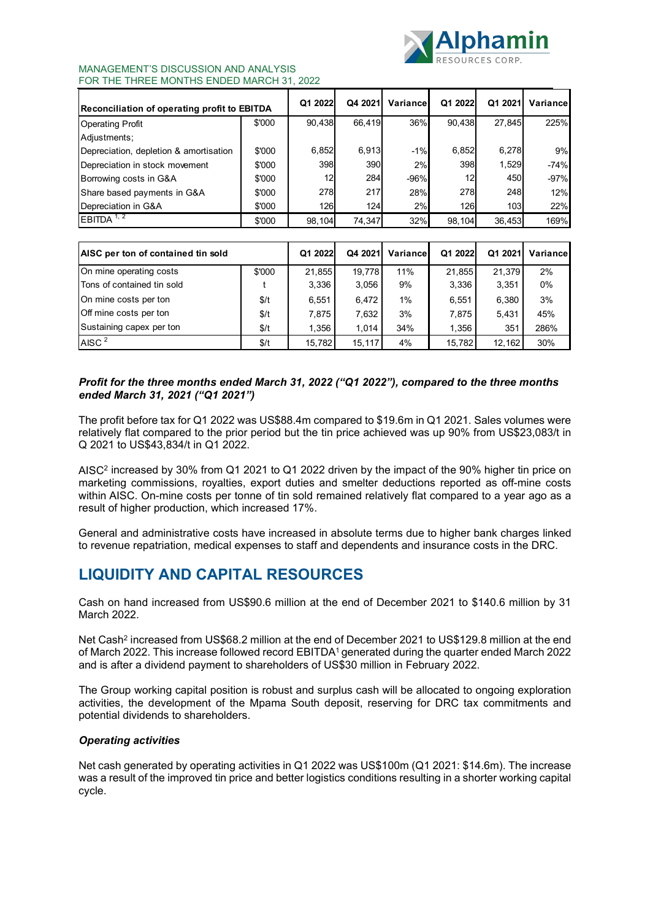

#### MANAGEMENT'S DISCUSSION AND ANALYSIS FOR THE THREE MONTHS ENDED MARCH 31, 2022

| Reconciliation of operating profit to EBITDA |        | Q1 2022 | Q4 2021 | Variancel | Q1 2022 | Q1 2021 | Variancel |
|----------------------------------------------|--------|---------|---------|-----------|---------|---------|-----------|
| <b>Operating Profit</b>                      | \$'000 | 90,438  | 66.419  | 36%       | 90.438  | 27.845  | 225%      |
| Adjustments:                                 |        |         |         |           |         |         |           |
| Depreciation, depletion & amortisation       | \$'000 | 6,852   | 6.913   | $-1%$     | 6,852   | 6,278   | 9%        |
| Depreciation in stock movement               | \$'000 | 398     | 390     | 2%        | 398     | 1,529   | $-74%$    |
| Borrowing costs in G&A                       | \$'000 | 12      | 284     | $-96%$    | 12      | 450     | $-97%$    |
| Share based payments in G&A                  | \$'000 | 278     | 217     | 28%       | 278     | 248     | 12%       |
| Depreciation in G&A                          | \$'000 | 126     | 124     | 2%        | 126     | 103     | 22%       |
| EBITDA <sup>1, 2</sup>                       | \$'000 | 98.104  | 74.347  | 32%       | 98.104  | 36,453  | 169%      |

| AISC per ton of contained tin sold |        | Q1 2022 | Q4 2021 | Variancel | Q1 2022 | Q1 2021 | Variance |
|------------------------------------|--------|---------|---------|-----------|---------|---------|----------|
| On mine operating costs            | \$'000 | 21.855  | 19.778  | 11%       | 21.855  | 21.379  | 2%       |
| Tons of contained tin sold         |        | 3.336   | 3,056   | 9%        | 3,336   | 3,351   | $0\%$    |
| On mine costs per ton              | \$/t   | 6.551   | 6.472   | 1%        | 6,551   | 6,380   | 3%       |
| Off mine costs per ton             | \$/t   | 7,875   | 7,632   | 3%        | 7,875   | 5,431   | 45%      |
| Sustaining capex per ton           | \$/t   | 1.356   | 1.014   | 34%       | 1,356   | 351     | 286%     |
| AISC <sup>2</sup>                  | \$/t   | 15.782  | 15.117  | 4%        | 15.782  | 12.162  | 30%      |

### *Profit for the three months ended March 31, 2022 ("Q1 2022"), compared to the three months ended March 31, 2021 ("Q1 2021")*

The profit before tax for Q1 2022 was US\$88.4m compared to \$19.6m in Q1 2021. Sales volumes were relatively flat compared to the prior period but the tin price achieved was up 90% from US\$23,083/t in Q 2021 to US\$43,834/t in Q1 2022.

AISC2 increased by 30% from Q1 2021 to Q1 2022 driven by the impact of the 90% higher tin price on marketing commissions, royalties, export duties and smelter deductions reported as off-mine costs within AISC. On-mine costs per tonne of tin sold remained relatively flat compared to a year ago as a result of higher production, which increased 17%.

General and administrative costs have increased in absolute terms due to higher bank charges linked to revenue repatriation, medical expenses to staff and dependents and insurance costs in the DRC.

# <span id="page-5-0"></span>**LIQUIDITY AND CAPITAL RESOURCES**

Cash on hand increased from US\$90.6 million at the end of December 2021 to \$140.6 million by 31 March 2022.

Net Cash<sup>2</sup> increased from US\$68.2 million at the end of December 2021 to US\$129.8 million at the end of March 2022. This increase followed record EBITDA1 generated during the quarter ended March 2022 and is after a dividend payment to shareholders of US\$30 million in February 2022.

The Group working capital position is robust and surplus cash will be allocated to ongoing exploration activities, the development of the Mpama South deposit, reserving for DRC tax commitments and potential dividends to shareholders.

### *Operating activities*

Net cash generated by operating activities in Q1 2022 was US\$100m (Q1 2021: \$14.6m). The increase was a result of the improved tin price and better logistics conditions resulting in a shorter working capital cycle.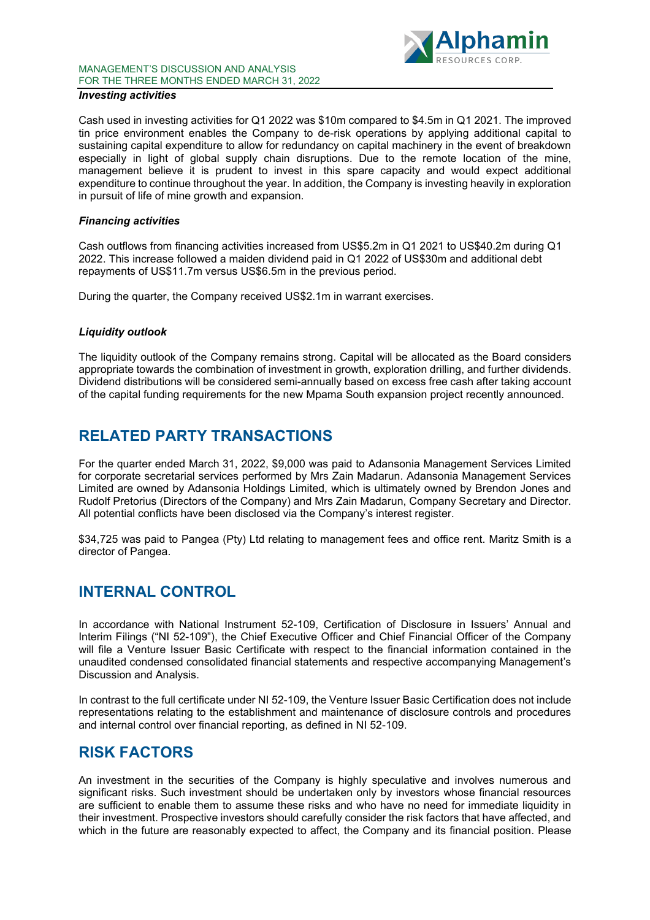### MANAGEMENT'S DISCUSSION AND ANALYSIS FOR THE THREE MONTHS ENDED MARCH 31, 2022



### *Investing activities*

Cash used in investing activities for Q1 2022 was \$10m compared to \$4.5m in Q1 2021. The improved tin price environment enables the Company to de-risk operations by applying additional capital to sustaining capital expenditure to allow for redundancy on capital machinery in the event of breakdown especially in light of global supply chain disruptions. Due to the remote location of the mine, management believe it is prudent to invest in this spare capacity and would expect additional expenditure to continue throughout the year. In addition, the Company is investing heavily in exploration in pursuit of life of mine growth and expansion.

#### *Financing activities*

Cash outflows from financing activities increased from US\$5.2m in Q1 2021 to US\$40.2m during Q1 2022. This increase followed a maiden dividend paid in Q1 2022 of US\$30m and additional debt repayments of US\$11.7m versus US\$6.5m in the previous period.

During the quarter, the Company received US\$2.1m in warrant exercises.

#### *Liquidity outlook*

The liquidity outlook of the Company remains strong. Capital will be allocated as the Board considers appropriate towards the combination of investment in growth, exploration drilling, and further dividends. Dividend distributions will be considered semi-annually based on excess free cash after taking account of the capital funding requirements for the new Mpama South expansion project recently announced.

# <span id="page-6-0"></span>**RELATED PARTY TRANSACTIONS**

For the quarter ended March 31, 2022, \$9,000 was paid to Adansonia Management Services Limited for corporate secretarial services performed by Mrs Zain Madarun. Adansonia Management Services Limited are owned by Adansonia Holdings Limited, which is ultimately owned by Brendon Jones and Rudolf Pretorius (Directors of the Company) and Mrs Zain Madarun, Company Secretary and Director. All potential conflicts have been disclosed via the Company's interest register.

\$34,725 was paid to Pangea (Pty) Ltd relating to management fees and office rent. Maritz Smith is a director of Pangea.

## <span id="page-6-1"></span>**INTERNAL CONTROL**

In accordance with National Instrument 52-109, Certification of Disclosure in Issuers' Annual and Interim Filings ("NI 52-109"), the Chief Executive Officer and Chief Financial Officer of the Company will file a Venture Issuer Basic Certificate with respect to the financial information contained in the unaudited condensed consolidated financial statements and respective accompanying Management's Discussion and Analysis.

In contrast to the full certificate under NI 52-109, the Venture Issuer Basic Certification does not include representations relating to the establishment and maintenance of disclosure controls and procedures and internal control over financial reporting, as defined in NI 52-109.

# <span id="page-6-2"></span>**RISK FACTORS**

An investment in the securities of the Company is highly speculative and involves numerous and significant risks. Such investment should be undertaken only by investors whose financial resources are sufficient to enable them to assume these risks and who have no need for immediate liquidity in their investment. Prospective investors should carefully consider the risk factors that have affected, and which in the future are reasonably expected to affect, the Company and its financial position. Please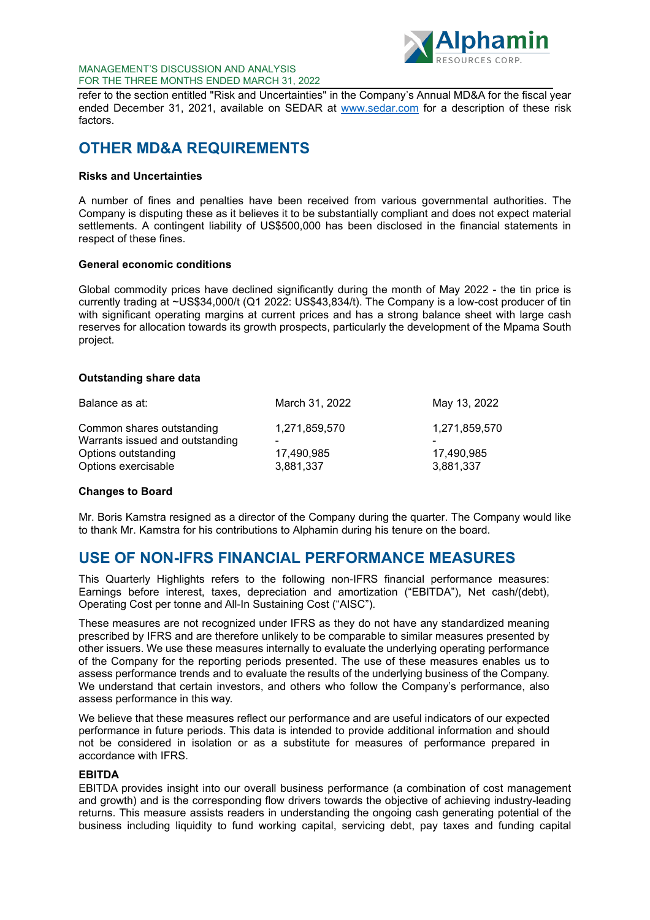

#### MANAGEMENT'S DISCUSSION AND ANALYSIS FOR THE THREE MONTHS ENDED MARCH 31, 2022

refer to the section entitled "Risk and Uncertainties" in the Company's Annual MD&A for the fiscal year ended December 31, 2021, available on SEDAR at [www.sedar.com](http://www.sedar.com/) for a description of these risk factors.

# <span id="page-7-0"></span>**OTHER MD&A REQUIREMENTS**

### **Risks and Uncertainties**

A number of fines and penalties have been received from various governmental authorities. The Company is disputing these as it believes it to be substantially compliant and does not expect material settlements. A contingent liability of US\$500,000 has been disclosed in the financial statements in respect of these fines.

### **General economic conditions**

Global commodity prices have declined significantly during the month of May 2022 - the tin price is currently trading at ~US\$34,000/t (Q1 2022: US\$43,834/t). The Company is a low-cost producer of tin with significant operating margins at current prices and has a strong balance sheet with large cash reserves for allocation towards its growth prospects, particularly the development of the Mpama South project.

### **Outstanding share data**

| Balance as at:                                               | March 31, 2022          | May 13, 2022            |
|--------------------------------------------------------------|-------------------------|-------------------------|
| Common shares outstanding<br>Warrants issued and outstanding | 1,271,859,570           | 1,271,859,570           |
| Options outstanding<br>Options exercisable                   | 17,490,985<br>3,881,337 | 17.490.985<br>3,881,337 |
|                                                              |                         |                         |

#### **Changes to Board**

Mr. Boris Kamstra resigned as a director of the Company during the quarter. The Company would like to thank Mr. Kamstra for his contributions to Alphamin during his tenure on the board.

# <span id="page-7-1"></span>**USE OF NON-IFRS FINANCIAL PERFORMANCE MEASURES**

This Quarterly Highlights refers to the following non-IFRS financial performance measures: Earnings before interest, taxes, depreciation and amortization ("EBITDA"), Net cash/(debt), Operating Cost per tonne and All-In Sustaining Cost ("AISC").

These measures are not recognized under IFRS as they do not have any standardized meaning prescribed by IFRS and are therefore unlikely to be comparable to similar measures presented by other issuers. We use these measures internally to evaluate the underlying operating performance of the Company for the reporting periods presented. The use of these measures enables us to assess performance trends and to evaluate the results of the underlying business of the Company. We understand that certain investors, and others who follow the Company's performance, also assess performance in this way.

We believe that these measures reflect our performance and are useful indicators of our expected performance in future periods. This data is intended to provide additional information and should not be considered in isolation or as a substitute for measures of performance prepared in accordance with IFRS.

#### <span id="page-7-2"></span>**EBITDA**

EBITDA provides insight into our overall business performance (a combination of cost management and growth) and is the corresponding flow drivers towards the objective of achieving industry-leading returns. This measure assists readers in understanding the ongoing cash generating potential of the business including liquidity to fund working capital, servicing debt, pay taxes and funding capital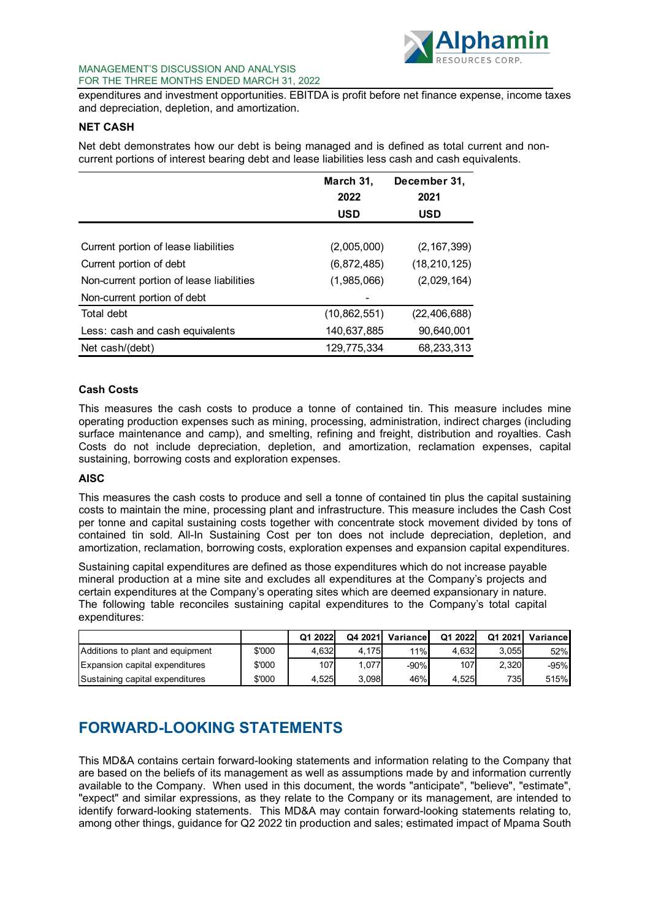

### MANAGEMENT'S DISCUSSION AND ANALYSIS FOR THE THREE MONTHS ENDED MARCH 31, 2022

expenditures and investment opportunities. EBITDA is profit before net finance expense, income taxes and depreciation, depletion, and amortization.

### <span id="page-8-0"></span>**NET CASH**

Net debt demonstrates how our debt is being managed and is defined as total current and noncurrent portions of interest bearing debt and lease liabilities less cash and cash equivalents.

|                                          | March 31,      | December 31,   |
|------------------------------------------|----------------|----------------|
|                                          | 2022           | 2021           |
|                                          | <b>USD</b>     | <b>USD</b>     |
|                                          |                |                |
| Current portion of lease liabilities     | (2,005,000)    | (2, 167, 399)  |
| Current portion of debt                  | (6,872,485)    | (18, 210, 125) |
| Non-current portion of lease liabilities | (1,985,066)    | (2,029,164)    |
| Non-current portion of debt              |                |                |
| Total debt                               | (10, 862, 551) | (22, 406, 688) |
| Less: cash and cash equivalents          | 140,637,885    | 90,640,001     |
| Net cash/(debt)                          | 129.775.334    | 68.233.313     |

### **Cash Costs**

This measures the cash costs to produce a tonne of contained tin. This measure includes mine operating production expenses such as mining, processing, administration, indirect charges (including surface maintenance and camp), and smelting, refining and freight, distribution and royalties. Cash Costs do not include depreciation, depletion, and amortization, reclamation expenses, capital sustaining, borrowing costs and exploration expenses.

#### **AISC**

This measures the cash costs to produce and sell a tonne of contained tin plus the capital sustaining costs to maintain the mine, processing plant and infrastructure. This measure includes the Cash Cost per tonne and capital sustaining costs together with concentrate stock movement divided by tons of contained tin sold. All-In Sustaining Cost per ton does not include depreciation, depletion, and amortization, reclamation, borrowing costs, exploration expenses and expansion capital expenditures.

Sustaining capital expenditures are defined as those expenditures which do not increase payable mineral production at a mine site and excludes all expenditures at the Company's projects and certain expenditures at the Company's operating sites which are deemed expansionary in nature. The following table reconciles sustaining capital expenditures to the Company's total capital expenditures:

|                                  |        | Q1 2022 | Q4 2021 | Variancel | Q1 2022 | Q1 2021 | Variancel |
|----------------------------------|--------|---------|---------|-----------|---------|---------|-----------|
| Additions to plant and equipment | \$'000 | 4.632   | 4.175   | 11%       | 4.632   | 3.055   | 52%       |
| Expansion capital expenditures   | \$'000 | 107     | 1.077   | $-90%$    | 107     | 2.320   | -95%      |
| Sustaining capital expenditures  | \$'000 | 4.525   | 3.098   | 46%       | 4.525   | 735I    | 515%      |

# **FORWARD-LOOKING STATEMENTS**

This MD&A contains certain forward-looking statements and information relating to the Company that are based on the beliefs of its management as well as assumptions made by and information currently available to the Company. When used in this document, the words "anticipate", "believe", "estimate", "expect" and similar expressions, as they relate to the Company or its management, are intended to identify forward-looking statements. This MD&A may contain forward-looking statements relating to, among other things, guidance for Q2 2022 tin production and sales; estimated impact of Mpama South